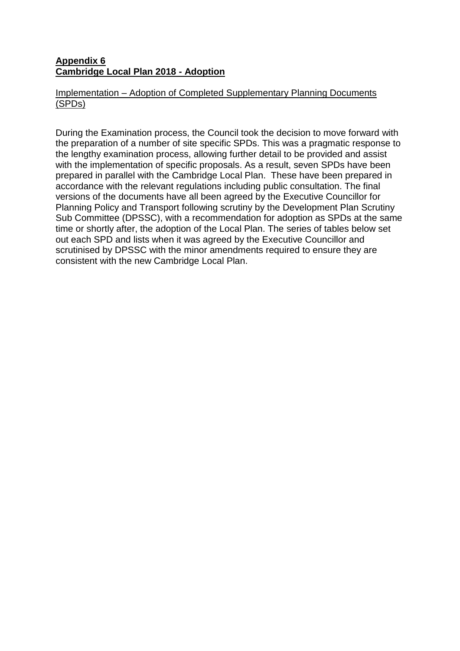### **Appendix 6 Cambridge Local Plan 2018 - Adoption**

### Implementation – Adoption of Completed Supplementary Planning Documents (SPDs)

During the Examination process, the Council took the decision to move forward with the preparation of a number of site specific SPDs. This was a pragmatic response to the lengthy examination process, allowing further detail to be provided and assist with the implementation of specific proposals. As a result, seven SPDs have been prepared in parallel with the Cambridge Local Plan. These have been prepared in accordance with the relevant regulations including public consultation. The final versions of the documents have all been agreed by the Executive Councillor for Planning Policy and Transport following scrutiny by the Development Plan Scrutiny Sub Committee (DPSSC), with a recommendation for adoption as SPDs at the same time or shortly after, the adoption of the Local Plan. The series of tables below set out each SPD and lists when it was agreed by the Executive Councillor and scrutinised by DPSSC with the minor amendments required to ensure they are consistent with the new Cambridge Local Plan.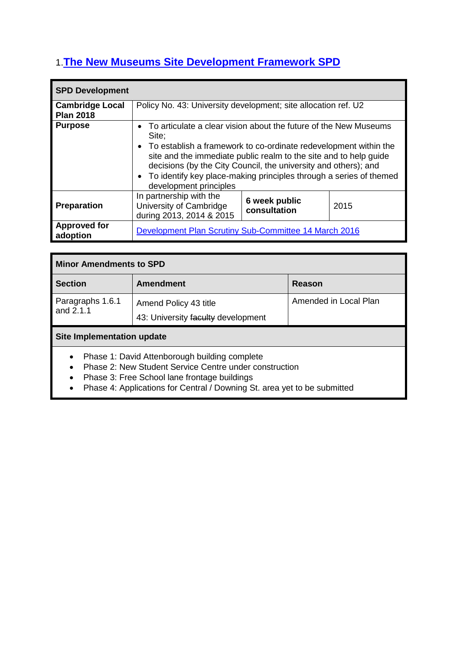## 1.**[The New Museums Site Development Framework SPD](https://www.cambridge.gov.uk/media/2443/final_web_-_new_museums_site_development_framework_0.pdf)**

| <b>SPD Development</b>                     |                                                                                                                                                                                                                                                                                                                                                                                                        |                               |      |
|--------------------------------------------|--------------------------------------------------------------------------------------------------------------------------------------------------------------------------------------------------------------------------------------------------------------------------------------------------------------------------------------------------------------------------------------------------------|-------------------------------|------|
| <b>Cambridge Local</b><br><b>Plan 2018</b> | Policy No. 43: University development; site allocation ref. U2                                                                                                                                                                                                                                                                                                                                         |                               |      |
| <b>Purpose</b>                             | To articulate a clear vision about the future of the New Museums<br>$\bullet$<br>Site:<br>• To establish a framework to co-ordinate redevelopment within the<br>site and the immediate public realm to the site and to help guide<br>decisions (by the City Council, the university and others); and<br>• To identify key place-making principles through a series of themed<br>development principles |                               |      |
| <b>Preparation</b>                         | In partnership with the<br>University of Cambridge<br>during 2013, 2014 & 2015                                                                                                                                                                                                                                                                                                                         | 6 week public<br>consultation | 2015 |
| <b>Approved for</b><br>adoption            | Development Plan Scrutiny Sub-Committee 14 March 2016                                                                                                                                                                                                                                                                                                                                                  |                               |      |

| <b>Minor Amendments to SPD</b>                                                                                                                                                                                                                |                                                             |                       |
|-----------------------------------------------------------------------------------------------------------------------------------------------------------------------------------------------------------------------------------------------|-------------------------------------------------------------|-----------------------|
| <b>Section</b>                                                                                                                                                                                                                                | <b>Amendment</b>                                            | Reason                |
| Paragraphs 1.6.1<br>and 2.1.1                                                                                                                                                                                                                 | Amend Policy 43 title<br>43: University faculty development | Amended in Local Plan |
| Site Implementation update                                                                                                                                                                                                                    |                                                             |                       |
| Phase 1: David Attenborough building complete<br>٠<br>Phase 2: New Student Service Centre under construction<br>Phase 3: Free School lane frontage buildings<br>٠<br>Phase 4: Applications for Central / Downing St. area yet to be submitted |                                                             |                       |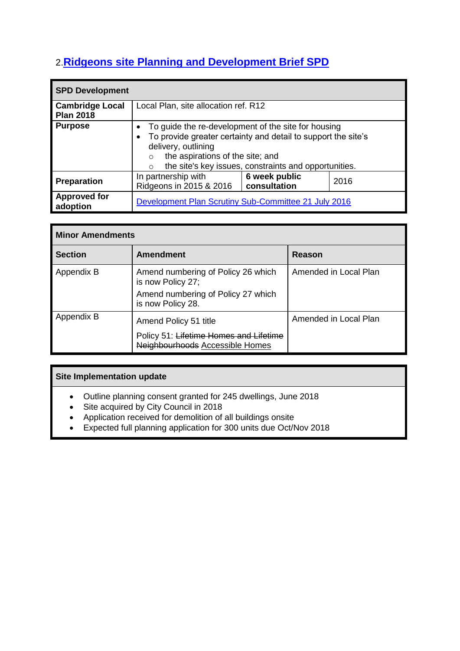### 2.**[Ridgeons site Planning and Development Brief SPD](https://www.cambridge.gov.uk/media/2457/ridgeons_site_cromwell_road_spd_aug_2016_lr.pdf)**

| <b>SPD Development</b>                     |                                                                                                                                                                                                                                                                 |                               |      |
|--------------------------------------------|-----------------------------------------------------------------------------------------------------------------------------------------------------------------------------------------------------------------------------------------------------------------|-------------------------------|------|
| <b>Cambridge Local</b><br><b>Plan 2018</b> | Local Plan, site allocation ref. R12                                                                                                                                                                                                                            |                               |      |
| <b>Purpose</b>                             | To guide the re-development of the site for housing<br>To provide greater certainty and detail to support the site's<br>delivery, outlining<br>the aspirations of the site; and<br>$\circ$<br>the site's key issues, constraints and opportunities.<br>$\Omega$ |                               |      |
| <b>Preparation</b>                         | In partnership with<br>Ridgeons in 2015 & 2016                                                                                                                                                                                                                  | 6 week public<br>consultation | 2016 |
| <b>Approved for</b><br>adoption            | Development Plan Scrutiny Sub-Committee 21 July 2016                                                                                                                                                                                                            |                               |      |

| <b>Minor Amendments</b> |                                                                           |                       |  |
|-------------------------|---------------------------------------------------------------------------|-----------------------|--|
| <b>Section</b>          | <b>Amendment</b>                                                          | Reason                |  |
| Appendix B              | Amend numbering of Policy 26 which<br>is now Policy 27;                   | Amended in Local Plan |  |
|                         | Amend numbering of Policy 27 which<br>is now Policy 28.                   |                       |  |
| Appendix B              | Amend Policy 51 title                                                     | Amended in Local Plan |  |
|                         | Policy 51: Lifetime Homes and Lifetime<br>Neighbourhoods Accessible Homes |                       |  |

### **Site Implementation update**

- Outline planning consent granted for 245 dwellings, June 2018
- Site acquired by City Council in 2018
- Application received for demolition of all buildings onsite
- Expected full planning application for 300 units due Oct/Nov 2018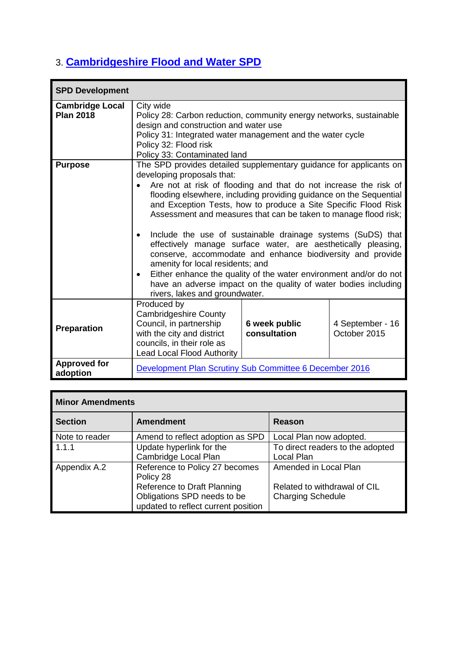# 3. **[Cambridgeshire Flood and Water SPD](https://www.cambridge.gov.uk/media/2277/cambridgeshire_flood_and_water_spd_reduced_size_final_0.pdf)**

| <b>SPD Development</b>                     |                                                                                                                                                                                                                                                                                                                                                                                                                                                                                                                                                                                                                                                                                                                                                                                                                     |                               |                                  |
|--------------------------------------------|---------------------------------------------------------------------------------------------------------------------------------------------------------------------------------------------------------------------------------------------------------------------------------------------------------------------------------------------------------------------------------------------------------------------------------------------------------------------------------------------------------------------------------------------------------------------------------------------------------------------------------------------------------------------------------------------------------------------------------------------------------------------------------------------------------------------|-------------------------------|----------------------------------|
| <b>Cambridge Local</b><br><b>Plan 2018</b> | City wide<br>Policy 28: Carbon reduction, community energy networks, sustainable<br>design and construction and water use<br>Policy 31: Integrated water management and the water cycle<br>Policy 32: Flood risk                                                                                                                                                                                                                                                                                                                                                                                                                                                                                                                                                                                                    |                               |                                  |
| <b>Purpose</b>                             | Policy 33: Contaminated land<br>The SPD provides detailed supplementary guidance for applicants on<br>developing proposals that:<br>Are not at risk of flooding and that do not increase the risk of<br>flooding elsewhere, including providing guidance on the Sequential<br>and Exception Tests, how to produce a Site Specific Flood Risk<br>Assessment and measures that can be taken to manage flood risk;<br>Include the use of sustainable drainage systems (SuDS) that<br>$\bullet$<br>effectively manage surface water, are aesthetically pleasing,<br>conserve, accommodate and enhance biodiversity and provide<br>amenity for local residents; and<br>Either enhance the quality of the water environment and/or do not<br>$\bullet$<br>have an adverse impact on the quality of water bodies including |                               |                                  |
| <b>Preparation</b>                         | Produced by<br><b>Cambridgeshire County</b><br>Council, in partnership<br>with the city and district<br>councils, in their role as<br><b>Lead Local Flood Authority</b>                                                                                                                                                                                                                                                                                                                                                                                                                                                                                                                                                                                                                                             | 6 week public<br>consultation | 4 September - 16<br>October 2015 |
| <b>Approved for</b><br>adoption            | Development Plan Scrutiny Sub Committee 6 December 2016                                                                                                                                                                                                                                                                                                                                                                                                                                                                                                                                                                                                                                                                                                                                                             |                               |                                  |

| <b>Minor Amendments</b> |                                                                                                           |                                                                                   |  |
|-------------------------|-----------------------------------------------------------------------------------------------------------|-----------------------------------------------------------------------------------|--|
| <b>Section</b>          | <b>Amendment</b>                                                                                          | Reason                                                                            |  |
| Note to reader          | Amend to reflect adoption as SPD                                                                          | Local Plan now adopted.                                                           |  |
| 1.1.1                   | Update hyperlink for the<br>Cambridge Local Plan                                                          | To direct readers to the adopted<br>Local Plan                                    |  |
| Appendix A.2            | Reference to Policy 27 becomes<br>Policy 28<br>Reference to Draft Planning<br>Obligations SPD needs to be | Amended in Local Plan<br>Related to withdrawal of CIL<br><b>Charging Schedule</b> |  |
|                         | updated to reflect current position                                                                       |                                                                                   |  |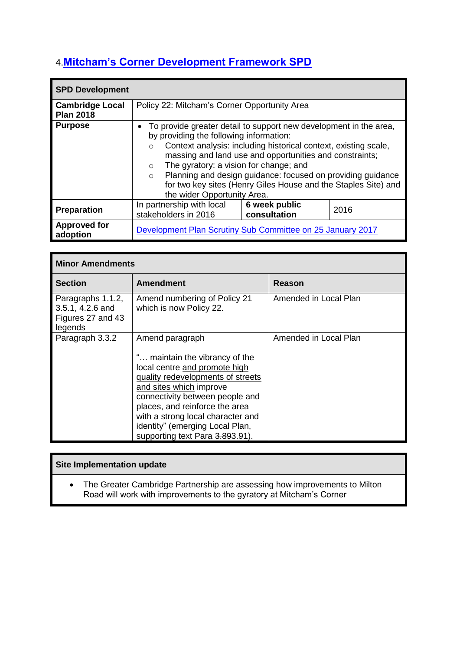### 4.**[Mitcham's Corner Development Framework SPD](https://www.cambridge.gov.uk/media/2421/final_approved_mitchams_corner_development_framework_260117_lowres_0.pdf)**

| <b>SPD Development</b>                     |                                                                                                                                                                                                                                     |                                                                                                                                                                                                                                                             |      |
|--------------------------------------------|-------------------------------------------------------------------------------------------------------------------------------------------------------------------------------------------------------------------------------------|-------------------------------------------------------------------------------------------------------------------------------------------------------------------------------------------------------------------------------------------------------------|------|
| <b>Cambridge Local</b><br><b>Plan 2018</b> | Policy 22: Mitcham's Corner Opportunity Area                                                                                                                                                                                        |                                                                                                                                                                                                                                                             |      |
| <b>Purpose</b>                             | To provide greater detail to support new development in the area,<br>$\bullet$<br>by providing the following information:<br>$\circ$<br>The gyratory: a vision for change; and<br>$\circ$<br>$\circ$<br>the wider Opportunity Area. | Context analysis: including historical context, existing scale,<br>massing and land use and opportunities and constraints;<br>Planning and design guidance: focused on providing guidance<br>for two key sites (Henry Giles House and the Staples Site) and |      |
| <b>Preparation</b>                         | In partnership with local<br>stakeholders in 2016                                                                                                                                                                                   | 6 week public<br>consultation                                                                                                                                                                                                                               | 2016 |
| <b>Approved for</b><br>adoption            | Development Plan Scrutiny Sub Committee on 25 January 2017                                                                                                                                                                          |                                                                                                                                                                                                                                                             |      |

| <b>Minor Amendments</b>                                               |                                                                                                                                                                                                                                                                                                                                    |                       |  |
|-----------------------------------------------------------------------|------------------------------------------------------------------------------------------------------------------------------------------------------------------------------------------------------------------------------------------------------------------------------------------------------------------------------------|-----------------------|--|
| <b>Section</b>                                                        | <b>Amendment</b>                                                                                                                                                                                                                                                                                                                   | Reason                |  |
| Paragraphs 1.1.2,<br>3.5.1, 4.2.6 and<br>Figures 27 and 43<br>legends | Amend numbering of Policy 21<br>which is now Policy 22.                                                                                                                                                                                                                                                                            | Amended in Local Plan |  |
| Paragraph 3.3.2                                                       | Amend paragraph<br>" maintain the vibrancy of the<br>local centre and promote high<br>quality redevelopments of streets<br>and sites which improve<br>connectivity between people and<br>places, and reinforce the area<br>with a strong local character and<br>identity" (emerging Local Plan,<br>supporting text Para 3.893.91). | Amended in Local Plan |  |

### **Site Implementation update**

 The Greater Cambridge Partnership are assessing how improvements to Milton Road will work with improvements to the gyratory at Mitcham's Corner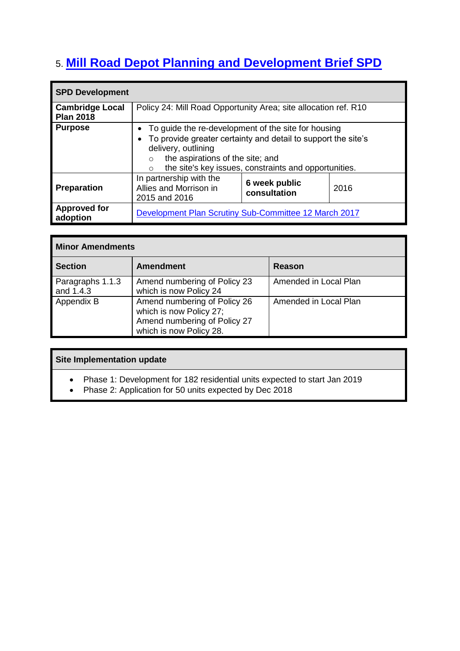# 5. **[Mill Road Depot Planning and Development Brief SPD](https://www.cambridge.gov.uk/media/2396/mill_road_depot_planning_and_development_brief_-_low_res_version.pdf)**

| <b>SPD Development</b>                     |                                                                                                                                                                                                                                                                                 |                               |      |
|--------------------------------------------|---------------------------------------------------------------------------------------------------------------------------------------------------------------------------------------------------------------------------------------------------------------------------------|-------------------------------|------|
| <b>Cambridge Local</b><br><b>Plan 2018</b> | Policy 24: Mill Road Opportunity Area; site allocation ref. R10                                                                                                                                                                                                                 |                               |      |
| <b>Purpose</b>                             | To guide the re-development of the site for housing<br>$\bullet$<br>To provide greater certainty and detail to support the site's<br>delivery, outlining<br>the aspirations of the site; and<br>$\bigcirc$<br>the site's key issues, constraints and opportunities.<br>$\Omega$ |                               |      |
| <b>Preparation</b>                         | In partnership with the<br>Allies and Morrison in<br>2015 and 2016                                                                                                                                                                                                              | 6 week public<br>consultation | 2016 |
| <b>Approved for</b><br>adoption            | Development Plan Scrutiny Sub-Committee 12 March 2017                                                                                                                                                                                                                           |                               |      |

| <b>Minor Amendments</b>       |                                                                                                                    |                       |  |
|-------------------------------|--------------------------------------------------------------------------------------------------------------------|-----------------------|--|
| <b>Section</b>                | <b>Amendment</b>                                                                                                   | Reason                |  |
| Paragraphs 1.1.3<br>and 1.4.3 | Amend numbering of Policy 23<br>which is now Policy 24                                                             | Amended in Local Plan |  |
| Appendix B                    | Amend numbering of Policy 26<br>which is now Policy 27;<br>Amend numbering of Policy 27<br>which is now Policy 28. | Amended in Local Plan |  |

### **Site Implementation update**

- Phase 1: Development for 182 residential units expected to start Jan 2019
- Phase 2: Application for 50 units expected by Dec 2018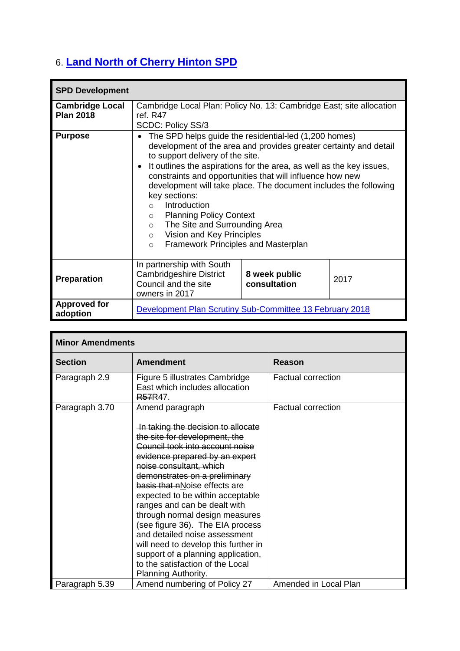## 6. **[Land North of Cherry Hinton SPD](https://www.cambridge.gov.uk/media/2375/land-north-of-cherry-hinton-spd-final-draft-low-resolution.pdf)**

| <b>SPD Development</b>                     |                                                                                                                                                                                                                                                                                                                                                                                                                                                                                                                                                                                                                     |  |  |  |
|--------------------------------------------|---------------------------------------------------------------------------------------------------------------------------------------------------------------------------------------------------------------------------------------------------------------------------------------------------------------------------------------------------------------------------------------------------------------------------------------------------------------------------------------------------------------------------------------------------------------------------------------------------------------------|--|--|--|
| <b>Cambridge Local</b><br><b>Plan 2018</b> | Cambridge Local Plan: Policy No. 13: Cambridge East; site allocation<br>ref. $R47$<br><b>SCDC: Policy SS/3</b>                                                                                                                                                                                                                                                                                                                                                                                                                                                                                                      |  |  |  |
| <b>Purpose</b>                             | The SPD helps guide the residential-led (1,200 homes)<br>development of the area and provides greater certainty and detail<br>to support delivery of the site.<br>It outlines the aspirations for the area, as well as the key issues,<br>$\bullet$<br>constraints and opportunities that will influence how new<br>development will take place. The document includes the following<br>key sections:<br>Introduction<br>$\circ$<br><b>Planning Policy Context</b><br>$\circ$<br>The Site and Surrounding Area<br>$\circ$<br>Vision and Key Principles<br>$\circ$<br>Framework Principles and Masterplan<br>$\circ$ |  |  |  |
| <b>Preparation</b>                         | In partnership with South<br><b>Cambridgeshire District</b><br>8 week public<br>2017<br>Council and the site<br>consultation<br>owners in 2017                                                                                                                                                                                                                                                                                                                                                                                                                                                                      |  |  |  |
| <b>Approved for</b><br>adoption            | Development Plan Scrutiny Sub-Committee 13 February 2018                                                                                                                                                                                                                                                                                                                                                                                                                                                                                                                                                            |  |  |  |

| <b>Minor Amendments</b> |                                                                                                                                                                                                                                                                                                                                                                                                                                                                                                                                                                              |                           |  |
|-------------------------|------------------------------------------------------------------------------------------------------------------------------------------------------------------------------------------------------------------------------------------------------------------------------------------------------------------------------------------------------------------------------------------------------------------------------------------------------------------------------------------------------------------------------------------------------------------------------|---------------------------|--|
| <b>Section</b>          | <b>Amendment</b>                                                                                                                                                                                                                                                                                                                                                                                                                                                                                                                                                             | Reason                    |  |
| Paragraph 2.9           | Figure 5 illustrates Cambridge<br>East which includes allocation<br>R <sub>57</sub> R47.                                                                                                                                                                                                                                                                                                                                                                                                                                                                                     | <b>Factual correction</b> |  |
| Paragraph 3.70          | Amend paragraph<br>In taking the decision to allocate<br>the site for development, the<br>Council took into account noise<br>evidence prepared by an expert<br>noise consultant, which<br>demonstrates on a preliminary<br>basis that nNoise effects are<br>expected to be within acceptable<br>ranges and can be dealt with<br>through normal design measures<br>(see figure 36). The EIA process<br>and detailed noise assessment<br>will need to develop this further in<br>support of a planning application,<br>to the satisfaction of the Local<br>Planning Authority. | <b>Factual correction</b> |  |
| Paragraph 5.39          | Amend numbering of Policy 27                                                                                                                                                                                                                                                                                                                                                                                                                                                                                                                                                 | Amended in Local Plan     |  |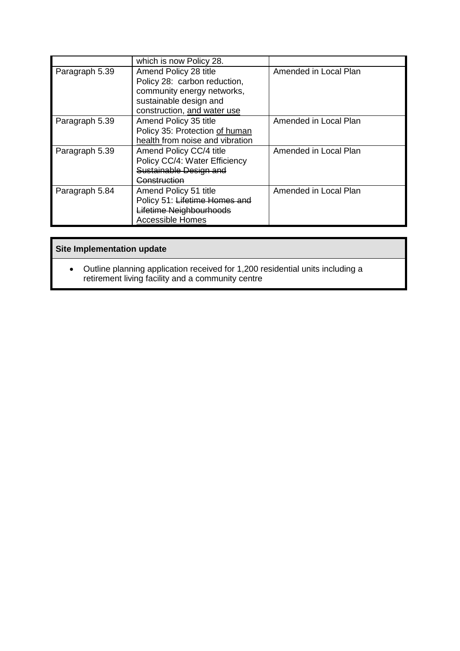|                | which is now Policy 28.                                                                                                                      |                       |
|----------------|----------------------------------------------------------------------------------------------------------------------------------------------|-----------------------|
| Paragraph 5.39 | Amend Policy 28 title<br>Policy 28: carbon reduction,<br>community energy networks,<br>sustainable design and<br>construction, and water use | Amended in Local Plan |
| Paragraph 5.39 | Amend Policy 35 title<br>Policy 35: Protection of human<br>health from noise and vibration                                                   | Amended in Local Plan |
| Paragraph 5.39 | Amend Policy CC/4 title<br>Policy CC/4: Water Efficiency<br>Sustainable Design and<br>Construction                                           | Amended in Local Plan |
| Paragraph 5.84 | Amend Policy 51 title<br>Policy 51: Lifetime Homes and<br>Lifetime Neighbourhoods<br><b>Accessible Homes</b>                                 | Amended in Local Plan |

### **Site Implementation update**

 Outline planning application received for 1,200 residential units including a retirement living facility and a community centre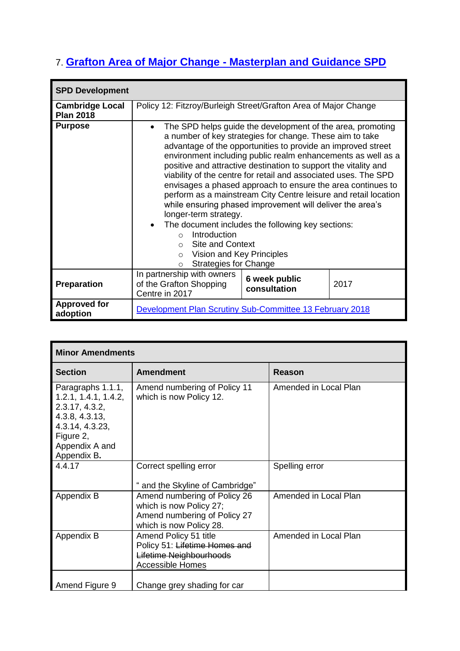# 7. **[Grafton Area of Major Change -](https://www.cambridge.gov.uk/media/5903/grafton-area-masterplan-spd.pdf) Masterplan and Guidance SPD**

| <b>SPD Development</b>                     |                                                                                                                                                                                                                                                                                                                                                                                                                                                                                                                                                                                                                                                                                                                                                                                                                  |                               |      |  |
|--------------------------------------------|------------------------------------------------------------------------------------------------------------------------------------------------------------------------------------------------------------------------------------------------------------------------------------------------------------------------------------------------------------------------------------------------------------------------------------------------------------------------------------------------------------------------------------------------------------------------------------------------------------------------------------------------------------------------------------------------------------------------------------------------------------------------------------------------------------------|-------------------------------|------|--|
| <b>Cambridge Local</b><br><b>Plan 2018</b> | Policy 12: Fitzroy/Burleigh Street/Grafton Area of Major Change                                                                                                                                                                                                                                                                                                                                                                                                                                                                                                                                                                                                                                                                                                                                                  |                               |      |  |
| <b>Purpose</b>                             | The SPD helps guide the development of the area, promoting<br>a number of key strategies for change. These aim to take<br>advantage of the opportunities to provide an improved street<br>environment including public realm enhancements as well as a<br>positive and attractive destination to support the vitality and<br>viability of the centre for retail and associated uses. The SPD<br>envisages a phased approach to ensure the area continues to<br>perform as a mainstream City Centre leisure and retail location<br>while ensuring phased improvement will deliver the area's<br>longer-term strategy.<br>The document includes the following key sections:<br>Introduction<br>$\cap$<br><b>Site and Context</b><br>$\cap$<br>Vision and Key Principles<br>$\circ$<br><b>Strategies for Change</b> |                               |      |  |
| <b>Preparation</b>                         | In partnership with owners<br>of the Grafton Shopping<br>Centre in 2017                                                                                                                                                                                                                                                                                                                                                                                                                                                                                                                                                                                                                                                                                                                                          | 6 week public<br>consultation | 2017 |  |
| <b>Approved for</b><br>adoption            | Development Plan Scrutiny Sub-Committee 13 February 2018                                                                                                                                                                                                                                                                                                                                                                                                                                                                                                                                                                                                                                                                                                                                                         |                               |      |  |

| <b>Minor Amendments</b>                                                                                                                        |                                                                                                                    |                       |  |  |
|------------------------------------------------------------------------------------------------------------------------------------------------|--------------------------------------------------------------------------------------------------------------------|-----------------------|--|--|
| <b>Section</b>                                                                                                                                 | <b>Amendment</b>                                                                                                   | Reason                |  |  |
| Paragraphs 1.1.1,<br>1.2.1, 1.4.1, 1.4.2,<br>2.3.17, 4.3.2,<br>4.3.8, 4.3.13,<br>4.3.14, 4.3.23,<br>Figure 2,<br>Appendix A and<br>Appendix B. | Amend numbering of Policy 11<br>which is now Policy 12.                                                            | Amended in Local Plan |  |  |
| 4.4.17                                                                                                                                         | Correct spelling error<br>" and the Skyline of Cambridge"                                                          | Spelling error        |  |  |
| Appendix B                                                                                                                                     | Amend numbering of Policy 26<br>which is now Policy 27;<br>Amend numbering of Policy 27<br>which is now Policy 28. | Amended in Local Plan |  |  |
| Appendix B                                                                                                                                     | Amend Policy 51 title<br>Policy 51: Lifetime Homes and<br>Lifetime Neighbourhoods<br><b>Accessible Homes</b>       | Amended in Local Plan |  |  |
| Amend Figure 9                                                                                                                                 | Change grey shading for car                                                                                        |                       |  |  |